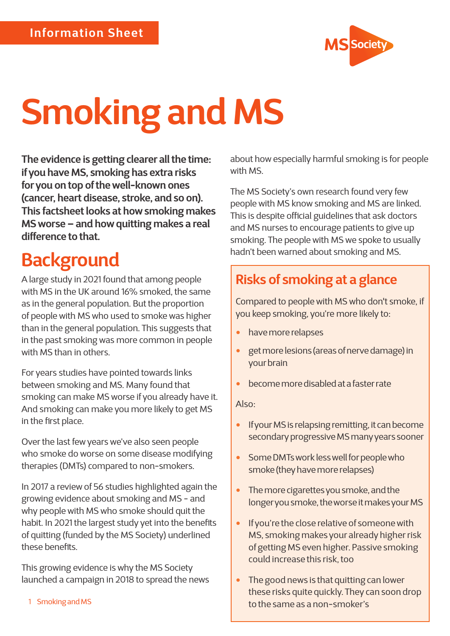

# **Smoking and MS**

**The evidence is getting clearer all the time: if you have MS, smoking has extra risks for you on top of the well-known ones (cancer, heart disease, stroke, and so on). This factsheet looks at how smoking makes MS worse – and how quitting makes a real difference to that.** 

# **Background**

A large study in 2021 found that among people with MS in the UK around 16% smoked, the same as in the general population. But the proportion of people with MS who used to smoke was higher than in the general population. This suggests that in the past smoking was more common in people with MS than in others.

For years studies have pointed towards links between smoking and MS. Many found that smoking can make MS worse if you already have it. And smoking can make you more likely to get MS in the first place.

Over the last few years we've also seen people who smoke do worse on some disease modifying therapies (DMTs) compared to non-smokers.

In 2017 a review of 56 studies highlighted again the growing evidence about smoking and MS - and why people with MS who smoke should quit the habit. In 2021 the largest study yet into the benefits of quitting (funded by the MS Society) underlined these benefits.

This growing evidence is why the MS Society launched a campaign in 2018 to spread the news

1 Smoking and MS

about how especially harmful smoking is for people with MS.

The MS Society's own research found very few people with MS know smoking and MS are linked. This is despite official guidelines that ask doctors and MS nurses to encourage patients to give up smoking. The people with MS we spoke to usually hadn't been warned about smoking and MS.

### **Risks of smoking at a glance**

Compared to people with MS who don't smoke, if you keep smoking, you're more likely to:

- have more relapses
- get more lesions (areas of nerve damage) in your brain
- become more disabled at a faster rate

Also:

- If your MS is relapsing remitting, it can become secondary progressive MS many years sooner
- Some DMTs work less well for people who smoke (they have more relapses)
- The more cigarettes you smoke, and the longer you smoke, the worse it makes your MS
- If you're the close relative of someone with MS, smoking makes your already higher risk of getting MS even higher. Passive smoking could increase this risk, too
- The good news is that quitting can lower these risks quite quickly. They can soon drop to the same as a non-smoker's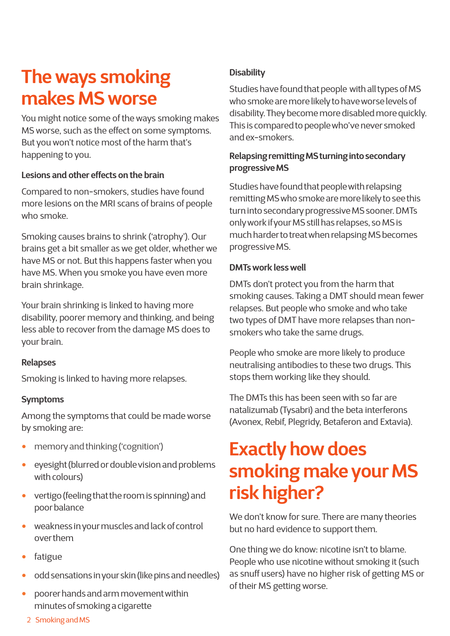# **The ways smoking makes MS worse**

You might notice some of the ways smoking makes MS worse, such as the effect on some symptoms. But you won't notice most of the harm that's happening to you.

#### **Lesions and other effects on the brain**

Compared to non-smokers, studies have found more lesions on the MRI scans of brains of people who smoke.

Smoking causes brains to shrink ('atrophy'). Our brains get a bit smaller as we get older, whether we have MS or not. But this happens faster when you have MS. When you smoke you have even more brain shrinkage.

Your brain shrinking is linked to having more disability, poorer memory and thinking, and being less able to recover from the damage MS does to your brain.

#### **Relapses**

Smoking is linked to having more relapses.

#### **Symptoms**

Among the symptoms that could be made worse by smoking are:

- memory and thinking ('cognition')
- eyesight (blurred or double vision and problems with colours)
- vertigo (feeling that the room is spinning) and poor balance
- weakness in your muscles and lack of control over them
- fatigue
- odd sensations in your skin (like pins and needles)
- poorer hands and arm movement within minutes of smoking a cigarette

#### **Disability**

Studies have found that people with all types of MS who smoke are more likely to have worse levels of disability. They become more disabled more quickly. This is compared to people who've never smoked and ex-smokers.

#### **Relapsing remitting MS turning into secondary progressive MS**

Studies have found that people with relapsing remitting MS who smoke are more likely to see this turn into secondary progressive MS sooner. DMTs only work if your MS still has relapses, so MS is much harder to treat when relapsing MS becomes progressive MS.

#### **DMTs work less well**

DMTs don't protect you from the harm that smoking causes. Taking a DMT should mean fewer relapses. But people who smoke and who take two types of DMT have more relapses than nonsmokers who take the same drugs.

People who smoke are more likely to produce neutralising antibodies to these two drugs. This stops them working like they should.

The DMTs this has been seen with so far are natalizumab (Tysabri) and the beta interferons (Avonex, Rebif, Plegridy, Betaferon and Extavia).

# **Exactly how does smoking make your MS risk higher?**

We don't know for sure. There are many theories but no hard evidence to support them.

One thing we do know: nicotine isn't to blame. People who use nicotine without smoking it (such as snuff users) have no higher risk of getting MS or of their MS getting worse.

<sup>2</sup> Smoking and MS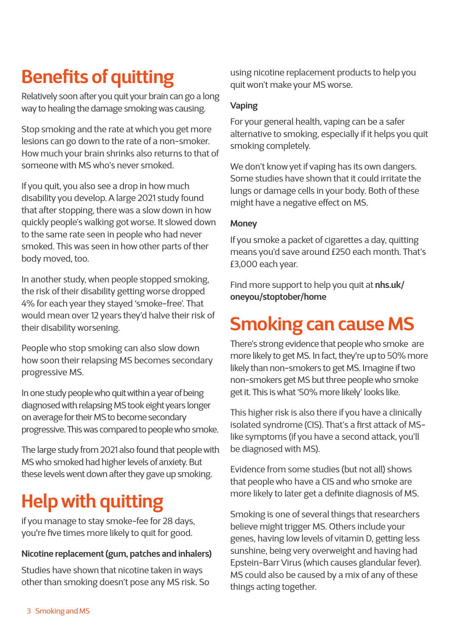# **Benefits of quitting**

Relatively soon after you quit your brain can go a long way to healing the damage smoking was causing.

Stop smoking and the rate at which you get more lesions can go down to the rate of a non-smoker. How much your brain shrinks also returns to that of someone with MS who's never smoked.

If you quit, you also see a drop in how much disability you develop. A large 2021 study found that after stopping, there was a slow down in how quickly people's walking got worse. It slowed down to the same rate seen in people who had never smoked. This was seen in how other parts of ther body moved, too.

In another study, when people stopped smoking, the risk of their disability getting worse dropped 4% for each year they stayed 'smoke-free'. That would mean over 12 years they'd halve their risk of their disability worsening.

People who stop smoking can also slow down how soon their relapsing MS becomes secondary progressive MS.

In one study people who quit within a year of being diagnosed with relapsing MS took eight years longer on average for their MS to become secondary progressive. This was compared to people who smoke.

The large study from 2021 also found that people with MS who smoked had higher levels of anxiety. But these levels went down after they gave up smoking.

# **Help with quitting**

if you manage to stay smoke-fee for 28 days, you're five times more likely to quit for good.

#### **Nicotine replacement (gum, patches and inhalers)**

Studies have shown that nicotine taken in ways other than smoking doesn't pose any MS risk. So using nicotine replacement products to help you quit won't make your MS worse.

#### **Vaping**

For your general health, vaping can be a safer alternative to smoking, especially if it helps you quit smoking completely.

We don't know yet if vaping has its own dangers. Some studies have shown that it could irritate the lungs or damage cells in your body. Both of these might have a negative effect on MS.

#### **Money**

If you smoke a packet of cigarettes a day, quitting means you'd save around £250 each month. That's £3,000 each year.

Find more support to help you quit at **[nhs.uk/](http://nhs.uk/oneyou/stoptober/home ) [oneyou/stoptober/home](http://nhs.uk/oneyou/stoptober/home )** 

# **Smoking can cause MS**

There's strong evidence that people who smoke are more likely to get MS. In fact, they're up to 50% more likely than non-smokers to get MS. Imagine if two non-smokers get MS but three people who smoke get it. This is what '50% more likely' looks like.

This higher risk is also there if you have a clinically isolated syndrome (CIS). That's a first attack of MSlike symptoms (if you have a second attack, you'll be diagnosed with MS).

Evidence from some studies (but not all) shows that people who have a CIS and who smoke are more likely to later get a definite diagnosis of MS.

Smoking is one of several things that researchers believe might trigger MS. Others include your genes, having low levels of vitamin D, getting less sunshine, being very overweight and having had Epstein-Barr Virus (which causes glandular fever). MS could also be caused by a mix of any of these things acting together.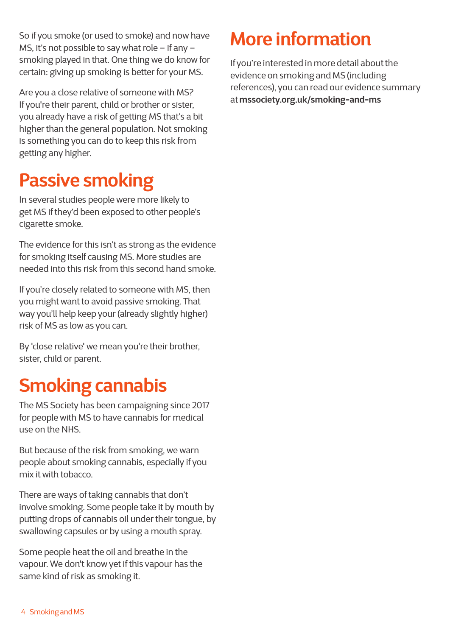So if you smoke (or used to smoke) and now have MS, it's not possible to say what role – if any – smoking played in that. One thing we do know for certain: giving up smoking is better for your MS.

Are you a close relative of someone with MS? If you're their parent, child or brother or sister, you already have a risk of getting MS that's a bit higher than the general population. Not smoking is something you can do to keep this risk from getting any higher.

# **Passive smoking**

In several studies people were more likely to get MS if they'd been exposed to other people's cigarette smoke.

The evidence for this isn't as strong as the evidence for smoking itself causing MS. More studies are needed into this risk from this second hand smoke.

If you're closely related to someone with MS, then you might want to avoid passive smoking. That way you'll help keep your (already slightly higher) risk of MS as low as you can.

By 'close relative' we mean you're their brother, sister, child or parent.

# **Smoking cannabis**

The MS Society has been campaigning since 2017 for people with MS to have cannabis for medical use on the NHS.

But because of the risk from smoking, we warn people about smoking cannabis, especially if you mix it with tobacco.

There are ways of taking cannabis that don't involve smoking. Some people take it by mouth by putting drops of cannabis oil under their tongue, by swallowing capsules or by using a mouth spray.

Some people heat the oil and breathe in the vapour. We don't know yet if this vapour has the same kind of risk as smoking it.

# **More information**

If you're interested in more detail about the evidence on smoking and MS (including references), you can read our evidence summary at **[mssociety.org.uk/smoking-and-ms](http://mssociety.org.uk/smoking-and-ms)**